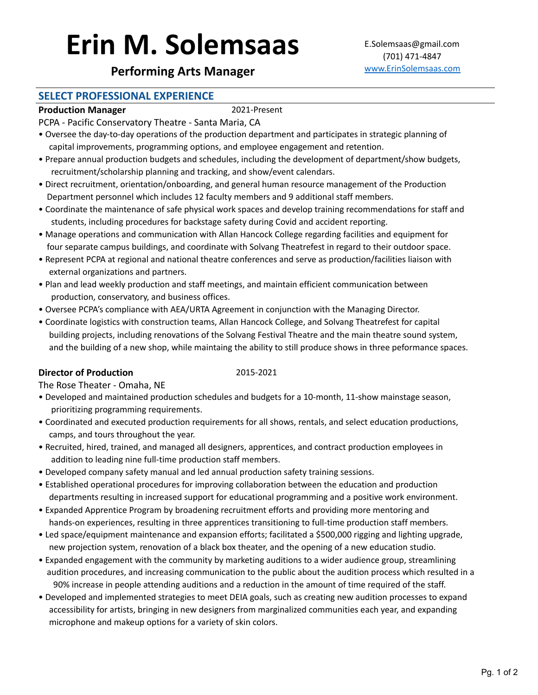# Erin M. Solemsaas E.Solemsaas@gmail.com

# **Performing Arts Manager** WWW.ErinSolemsaas.com

# **SELECT PROFESSIONAL EXPERIENCE**

### **Production Manager** 2021-Present

PCPA - Pacific Conservatory Theatre - Santa Maria, CA

- Oversee the day-to-day operations of the production department and participates in strategic planning of capital improvements, programming options, and employee engagement and retention.
- Prepare annual production budgets and schedules, including the development of department/show budgets, recruitment/scholarship planning and tracking, and show/event calendars.
- Direct recruitment, orientation/onboarding, and general human resource management of the Production Department personnel which includes 12 faculty members and 9 additional staff members.
- Coordinate the maintenance of safe physical work spaces and develop training recommendations for staff and students, including procedures for backstage safety during Covid and accident reporting.
- Manage operations and communication with Allan Hancock College regarding facilities and equipment for four separate campus buildings, and coordinate with Solvang Theatrefest in regard to their outdoor space.
- Represent PCPA at regional and national theatre conferences and serve as production/facilities liaison with external organizations and partners.
- Plan and lead weekly production and staff meetings, and maintain efficient communication between production, conservatory, and business offices.
- Oversee PCPA's compliance with AEA/URTA Agreement in conjunction with the Managing Director.
- Coordinate logistics with construction teams, Allan Hancock College, and Solvang Theatrefest for capital building projects, including renovations of the Solvang Festival Theatre and the main theatre sound system, and the building of a new shop, while maintaing the ability to still produce shows in three peformance spaces.

### **Director of Production** 2015-2021

The Rose Theater - Omaha, NE

- Developed and maintained production schedules and budgets for a 10-month, 11-show mainstage season, prioritizing programming requirements.
- Coordinated and executed production requirements for all shows, rentals, and select education productions, camps, and tours throughout the year.
- Recruited, hired, trained, and managed all designers, apprentices, and contract production employees in addition to leading nine full-time production staff members.
- Developed company safety manual and led annual production safety training sessions.
- Established operational procedures for improving collaboration between the education and production departments resulting in increased support for educational programming and a positive work environment.
- Expanded Apprentice Program by broadening recruitment efforts and providing more mentoring and hands-on experiences, resulting in three apprentices transitioning to full-time production staff members.
- Led space/equipment maintenance and expansion efforts; facilitated a \$500,000 rigging and lighting upgrade, new projection system, renovation of a black box theater, and the opening of a new education studio.
- Expanded engagement with the community by marketing auditions to a wider audience group, streamlining audition procedures, and increasing communication to the public about the audition process which resulted in a 90% increase in people attending auditions and a reduction in the amount of time required of the staff.
- Developed and implemented strategies to meet DEIA goals, such as creating new audition processes to expand accessibility for artists, bringing in new designers from marginalized communities each year, and expanding microphone and makeup options for a variety of skin colors.